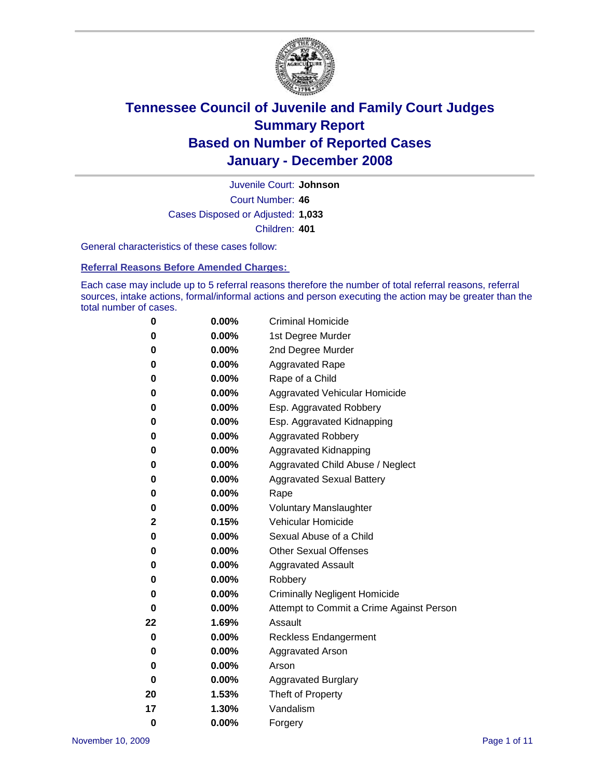

Court Number: **46** Juvenile Court: **Johnson** Cases Disposed or Adjusted: **1,033** Children: **401**

General characteristics of these cases follow:

**Referral Reasons Before Amended Charges:** 

Each case may include up to 5 referral reasons therefore the number of total referral reasons, referral sources, intake actions, formal/informal actions and person executing the action may be greater than the total number of cases.

| 0        | $0.00\%$ | <b>Criminal Homicide</b>                 |
|----------|----------|------------------------------------------|
| 0        | 0.00%    | 1st Degree Murder                        |
| 0        | $0.00\%$ | 2nd Degree Murder                        |
| 0        | 0.00%    | <b>Aggravated Rape</b>                   |
| 0        | 0.00%    | Rape of a Child                          |
| 0        | $0.00\%$ | Aggravated Vehicular Homicide            |
| 0        | 0.00%    | Esp. Aggravated Robbery                  |
| 0        | $0.00\%$ | Esp. Aggravated Kidnapping               |
| 0        | 0.00%    | <b>Aggravated Robbery</b>                |
| 0        | 0.00%    | Aggravated Kidnapping                    |
| 0        | $0.00\%$ | Aggravated Child Abuse / Neglect         |
| 0        | 0.00%    | <b>Aggravated Sexual Battery</b>         |
| 0        | 0.00%    | Rape                                     |
| 0        | 0.00%    | <b>Voluntary Manslaughter</b>            |
| 2        | 0.15%    | Vehicular Homicide                       |
| 0        | $0.00\%$ | Sexual Abuse of a Child                  |
| 0        | 0.00%    | <b>Other Sexual Offenses</b>             |
| 0        | 0.00%    | <b>Aggravated Assault</b>                |
| 0        | 0.00%    | Robbery                                  |
| 0        | 0.00%    | <b>Criminally Negligent Homicide</b>     |
| 0        | 0.00%    | Attempt to Commit a Crime Against Person |
| 22       | 1.69%    | Assault                                  |
| 0        | 0.00%    | <b>Reckless Endangerment</b>             |
| 0        | 0.00%    | <b>Aggravated Arson</b>                  |
| 0        | 0.00%    | Arson                                    |
| 0        | 0.00%    | <b>Aggravated Burglary</b>               |
| 20       | 1.53%    | Theft of Property                        |
| 17       | 1.30%    | Vandalism                                |
| $\bf{0}$ | 0.00%    | Forgery                                  |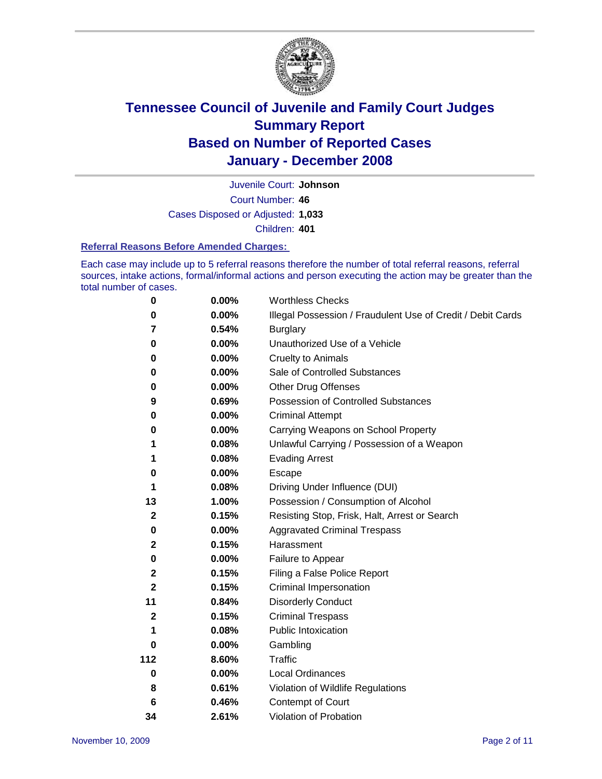

Court Number: **46** Juvenile Court: **Johnson** Cases Disposed or Adjusted: **1,033** Children: **401**

#### **Referral Reasons Before Amended Charges:**

Each case may include up to 5 referral reasons therefore the number of total referral reasons, referral sources, intake actions, formal/informal actions and person executing the action may be greater than the total number of cases.

| 0            | 0.00%    | <b>Worthless Checks</b>                                     |
|--------------|----------|-------------------------------------------------------------|
| 0            | 0.00%    | Illegal Possession / Fraudulent Use of Credit / Debit Cards |
| 7            | 0.54%    | <b>Burglary</b>                                             |
| 0            | $0.00\%$ | Unauthorized Use of a Vehicle                               |
| 0            | 0.00%    | <b>Cruelty to Animals</b>                                   |
| 0            | $0.00\%$ | Sale of Controlled Substances                               |
| 0            | 0.00%    | <b>Other Drug Offenses</b>                                  |
| 9            | 0.69%    | Possession of Controlled Substances                         |
| 0            | $0.00\%$ | <b>Criminal Attempt</b>                                     |
| 0            | 0.00%    | Carrying Weapons on School Property                         |
| 1            | 0.08%    | Unlawful Carrying / Possession of a Weapon                  |
| 1            | 0.08%    | <b>Evading Arrest</b>                                       |
| 0            | 0.00%    | Escape                                                      |
| 1            | 0.08%    | Driving Under Influence (DUI)                               |
| 13           | 1.00%    | Possession / Consumption of Alcohol                         |
| $\mathbf{2}$ | 0.15%    | Resisting Stop, Frisk, Halt, Arrest or Search               |
| 0            | 0.00%    | <b>Aggravated Criminal Trespass</b>                         |
| $\mathbf 2$  | 0.15%    | Harassment                                                  |
| 0            | $0.00\%$ | Failure to Appear                                           |
| $\mathbf 2$  | 0.15%    | Filing a False Police Report                                |
| $\mathbf 2$  | 0.15%    | Criminal Impersonation                                      |
| 11           | 0.84%    | <b>Disorderly Conduct</b>                                   |
| $\mathbf{2}$ | 0.15%    | <b>Criminal Trespass</b>                                    |
| 1            | 0.08%    | <b>Public Intoxication</b>                                  |
| 0            | $0.00\%$ | Gambling                                                    |
| 112          | 8.60%    | Traffic                                                     |
| 0            | 0.00%    | Local Ordinances                                            |
| 8            | 0.61%    | Violation of Wildlife Regulations                           |
| 6            | 0.46%    | Contempt of Court                                           |
| 34           | 2.61%    | Violation of Probation                                      |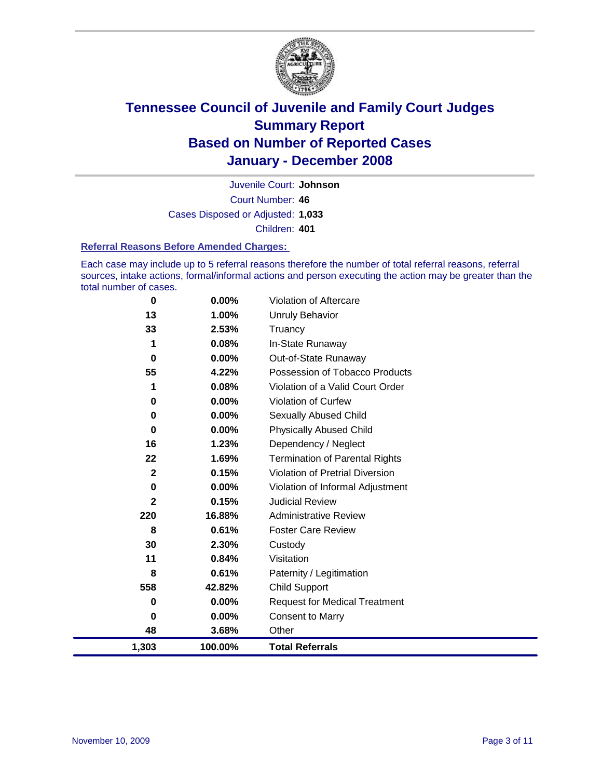

Court Number: **46** Juvenile Court: **Johnson** Cases Disposed or Adjusted: **1,033** Children: **401**

#### **Referral Reasons Before Amended Charges:**

Each case may include up to 5 referral reasons therefore the number of total referral reasons, referral sources, intake actions, formal/informal actions and person executing the action may be greater than the total number of cases.

| 0            | 0.00%   | Violation of Aftercare                 |
|--------------|---------|----------------------------------------|
| 13           | 1.00%   | <b>Unruly Behavior</b>                 |
| 33           | 2.53%   | Truancy                                |
| 1            | 0.08%   | In-State Runaway                       |
| 0            | 0.00%   | Out-of-State Runaway                   |
| 55           | 4.22%   | Possession of Tobacco Products         |
| 1            | 0.08%   | Violation of a Valid Court Order       |
| 0            | 0.00%   | <b>Violation of Curfew</b>             |
| 0            | 0.00%   | <b>Sexually Abused Child</b>           |
| $\bf{0}$     | 0.00%   | <b>Physically Abused Child</b>         |
| 16           | 1.23%   | Dependency / Neglect                   |
| 22           | 1.69%   | <b>Termination of Parental Rights</b>  |
| $\mathbf{2}$ | 0.15%   | <b>Violation of Pretrial Diversion</b> |
| 0            | 0.00%   | Violation of Informal Adjustment       |
| $\mathbf{2}$ | 0.15%   | <b>Judicial Review</b>                 |
| 220          | 16.88%  | <b>Administrative Review</b>           |
| 8            | 0.61%   | <b>Foster Care Review</b>              |
| 30           | 2.30%   | Custody                                |
| 11           | 0.84%   | Visitation                             |
| 8            | 0.61%   | Paternity / Legitimation               |
| 558          | 42.82%  | Child Support                          |
| 0            | 0.00%   | <b>Request for Medical Treatment</b>   |
| 0            | 0.00%   | <b>Consent to Marry</b>                |
| 48           | 3.68%   | Other                                  |
| 1,303        | 100.00% | <b>Total Referrals</b>                 |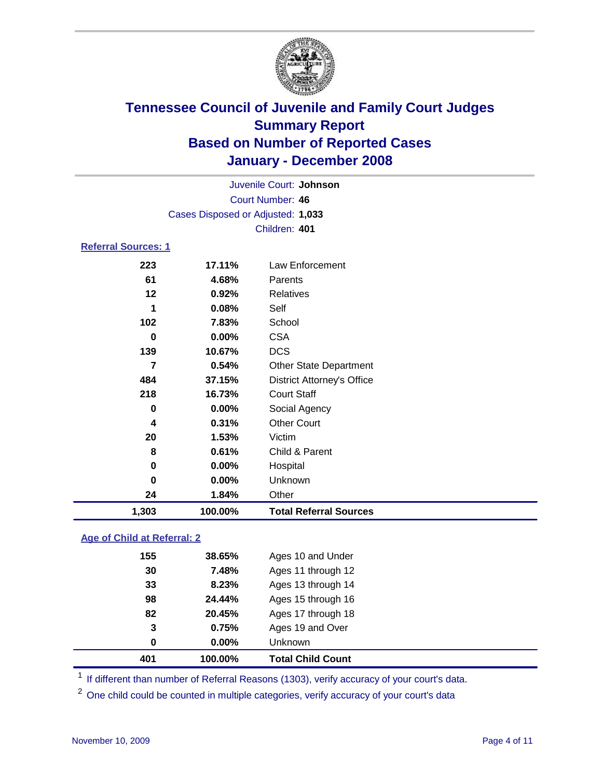

| Juvenile Court: Johnson           |  |
|-----------------------------------|--|
| Court Number: 46                  |  |
| Cases Disposed or Adjusted: 1,033 |  |
| Children: 401                     |  |
| <b>Referral Sources: 1</b>        |  |

| 1,303    | 100.00% | <b>Total Referral Sources</b>     |
|----------|---------|-----------------------------------|
| 24       | 1.84%   | Other                             |
| $\bf{0}$ | 0.00%   | Unknown                           |
| 0        | 0.00%   | Hospital                          |
| 8        | 0.61%   | Child & Parent                    |
| 20       | 1.53%   | Victim                            |
| 4        | 0.31%   | <b>Other Court</b>                |
| 0        | 0.00%   | Social Agency                     |
| 218      | 16.73%  | <b>Court Staff</b>                |
| 484      | 37.15%  | <b>District Attorney's Office</b> |
| 7        | 0.54%   | <b>Other State Department</b>     |
| 139      | 10.67%  | <b>DCS</b>                        |
| 0        | 0.00%   | <b>CSA</b>                        |
| 102      | 7.83%   | School                            |
| 1        | 0.08%   | Self                              |
| 12       | 0.92%   | Relatives                         |
| 61       | 4.68%   | Parents                           |
|          | 17.11%  | Law Enforcement                   |
|          | 223     |                                   |

### **Age of Child at Referral: 2**

|     | 100.00%  | <b>Total Child Count</b> |
|-----|----------|--------------------------|
| 0   | $0.00\%$ | <b>Unknown</b>           |
| 3   | 0.75%    | Ages 19 and Over         |
| 82  | 20.45%   | Ages 17 through 18       |
| 98  | 24.44%   | Ages 15 through 16       |
| 33  | 8.23%    | Ages 13 through 14       |
| 30  | 7.48%    | Ages 11 through 12       |
| 155 | 38.65%   | Ages 10 and Under        |
|     | 401      |                          |

<sup>1</sup> If different than number of Referral Reasons (1303), verify accuracy of your court's data.

<sup>2</sup> One child could be counted in multiple categories, verify accuracy of your court's data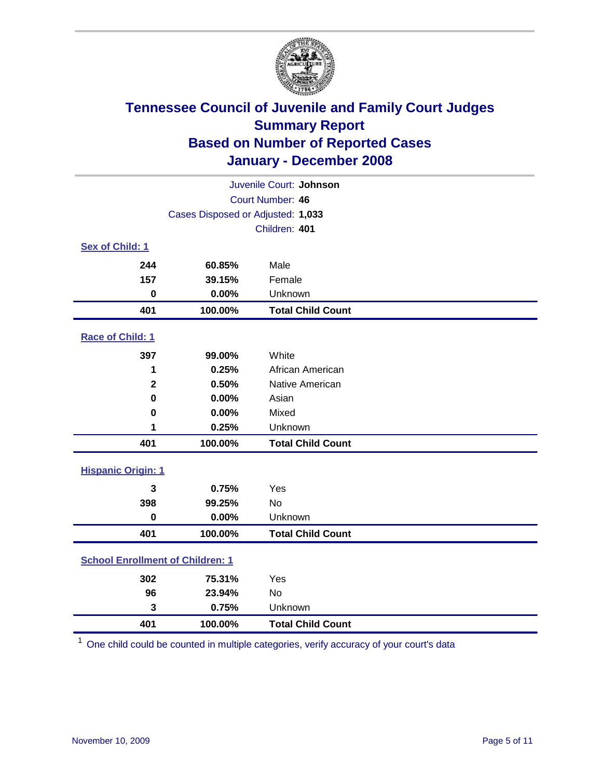

| Juvenile Court: Johnson                 |                                   |                          |  |  |
|-----------------------------------------|-----------------------------------|--------------------------|--|--|
|                                         | Court Number: 46                  |                          |  |  |
|                                         | Cases Disposed or Adjusted: 1,033 |                          |  |  |
|                                         | Children: 401                     |                          |  |  |
| Sex of Child: 1                         |                                   |                          |  |  |
| 244                                     | 60.85%                            | Male                     |  |  |
| 157                                     | 39.15%                            | Female                   |  |  |
| $\bf{0}$                                | 0.00%                             | Unknown                  |  |  |
| 401                                     | 100.00%                           | <b>Total Child Count</b> |  |  |
| Race of Child: 1                        |                                   |                          |  |  |
| 397                                     | 99.00%                            | White                    |  |  |
| 1                                       | 0.25%                             | African American         |  |  |
| $\mathbf 2$                             | 0.50%                             | Native American          |  |  |
| $\bf{0}$                                | 0.00%                             | Asian                    |  |  |
| 0                                       | 0.00%                             | Mixed                    |  |  |
| 1                                       | 0.25%                             | Unknown                  |  |  |
| 401                                     | 100.00%                           | <b>Total Child Count</b> |  |  |
| <b>Hispanic Origin: 1</b>               |                                   |                          |  |  |
| 3                                       | 0.75%                             | Yes                      |  |  |
| 398                                     | 99.25%                            | <b>No</b>                |  |  |
| $\mathbf 0$                             | 0.00%                             | Unknown                  |  |  |
| 401                                     | 100.00%                           | <b>Total Child Count</b> |  |  |
| <b>School Enrollment of Children: 1</b> |                                   |                          |  |  |
| 302                                     | 75.31%                            | Yes                      |  |  |
| 96                                      | 23.94%                            | <b>No</b>                |  |  |
| 3                                       | 0.75%                             | Unknown                  |  |  |
| 401                                     | 100.00%                           | <b>Total Child Count</b> |  |  |

One child could be counted in multiple categories, verify accuracy of your court's data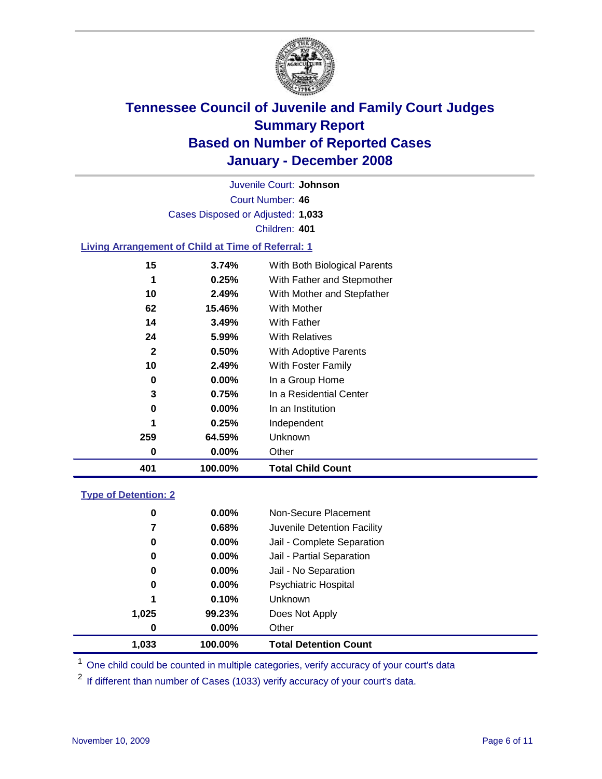

Court Number: **46** Juvenile Court: **Johnson** Cases Disposed or Adjusted: **1,033** Children: **401**

#### **Living Arrangement of Child at Time of Referral: 1**

| 401          | 100.00%  | <b>Total Child Count</b>     |
|--------------|----------|------------------------------|
| 0            | $0.00\%$ | Other                        |
| 259          | 64.59%   | <b>Unknown</b>               |
| 1            | 0.25%    | Independent                  |
| 0            | $0.00\%$ | In an Institution            |
| 3            | 0.75%    | In a Residential Center      |
| 0            | $0.00\%$ | In a Group Home              |
| 10           | 2.49%    | With Foster Family           |
| $\mathbf{2}$ | 0.50%    | With Adoptive Parents        |
| 24           | 5.99%    | <b>With Relatives</b>        |
| 14           | 3.49%    | <b>With Father</b>           |
| 62           | 15.46%   | With Mother                  |
| 10           | 2.49%    | With Mother and Stepfather   |
| 1            | 0.25%    | With Father and Stepmother   |
| 15           | 3.74%    | With Both Biological Parents |
|              |          |                              |

#### **Type of Detention: 2**

| 1,033 | 100.00%  | <b>Total Detention Count</b> |
|-------|----------|------------------------------|
| 0     | 0.00%    | Other                        |
| 1,025 | 99.23%   | Does Not Apply               |
| 1     | 0.10%    | Unknown                      |
| 0     | $0.00\%$ | <b>Psychiatric Hospital</b>  |
| 0     | 0.00%    | Jail - No Separation         |
| 0     | $0.00\%$ | Jail - Partial Separation    |
| 0     | 0.00%    | Jail - Complete Separation   |
| 7     | 0.68%    | Juvenile Detention Facility  |
| 0     | 0.00%    | Non-Secure Placement         |
|       |          |                              |

<sup>1</sup> One child could be counted in multiple categories, verify accuracy of your court's data

<sup>2</sup> If different than number of Cases (1033) verify accuracy of your court's data.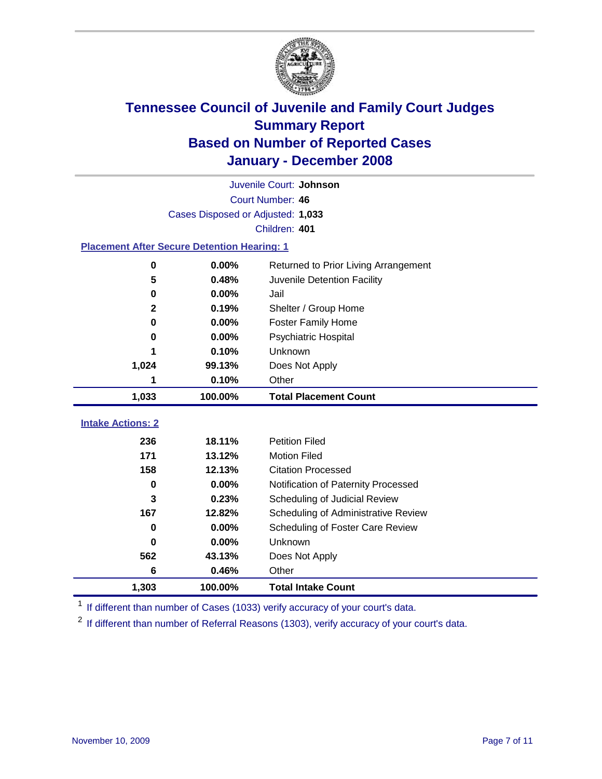

|                                                    |                                   | Juvenile Court: Johnson              |  |  |  |  |
|----------------------------------------------------|-----------------------------------|--------------------------------------|--|--|--|--|
|                                                    | Court Number: 46                  |                                      |  |  |  |  |
|                                                    | Cases Disposed or Adjusted: 1,033 |                                      |  |  |  |  |
|                                                    |                                   | Children: 401                        |  |  |  |  |
| <b>Placement After Secure Detention Hearing: 1</b> |                                   |                                      |  |  |  |  |
| 0                                                  | 0.00%                             | Returned to Prior Living Arrangement |  |  |  |  |
| 5                                                  | 0.48%                             | Juvenile Detention Facility          |  |  |  |  |
| 0                                                  | 0.00%                             | Jail                                 |  |  |  |  |
| $\mathbf{2}$                                       | 0.19%                             | Shelter / Group Home                 |  |  |  |  |
| 0                                                  | 0.00%                             | <b>Foster Family Home</b>            |  |  |  |  |
| 0                                                  | 0.00%                             | Psychiatric Hospital                 |  |  |  |  |
|                                                    | 0.10%                             | Unknown                              |  |  |  |  |
| 1,024                                              | 99.13%                            | Does Not Apply                       |  |  |  |  |
| 1                                                  | 0.10%                             | Other                                |  |  |  |  |
| 1,033                                              | 100.00%                           | <b>Total Placement Count</b>         |  |  |  |  |
|                                                    |                                   |                                      |  |  |  |  |
| <b>Intake Actions: 2</b>                           |                                   |                                      |  |  |  |  |
| 236                                                | 18.11%                            | <b>Petition Filed</b>                |  |  |  |  |
| 171                                                | 13.12%                            | <b>Motion Filed</b>                  |  |  |  |  |
| 158                                                | 12.13%                            | <b>Citation Processed</b>            |  |  |  |  |
| 0                                                  | 0.00%                             | Notification of Paternity Processed  |  |  |  |  |
| 3                                                  | 0.23%                             | Scheduling of Judicial Review        |  |  |  |  |
| 167                                                | 12.82%                            | Scheduling of Administrative Review  |  |  |  |  |
| 0                                                  | 0.00%                             | Scheduling of Foster Care Review     |  |  |  |  |
| 0                                                  | 0.00%                             | Unknown                              |  |  |  |  |
| 562                                                | 43.13%                            | Does Not Apply                       |  |  |  |  |
| 6                                                  | 0.46%                             | Other                                |  |  |  |  |
| 1,303                                              | 100.00%                           | <b>Total Intake Count</b>            |  |  |  |  |

<sup>1</sup> If different than number of Cases (1033) verify accuracy of your court's data.

<sup>2</sup> If different than number of Referral Reasons (1303), verify accuracy of your court's data.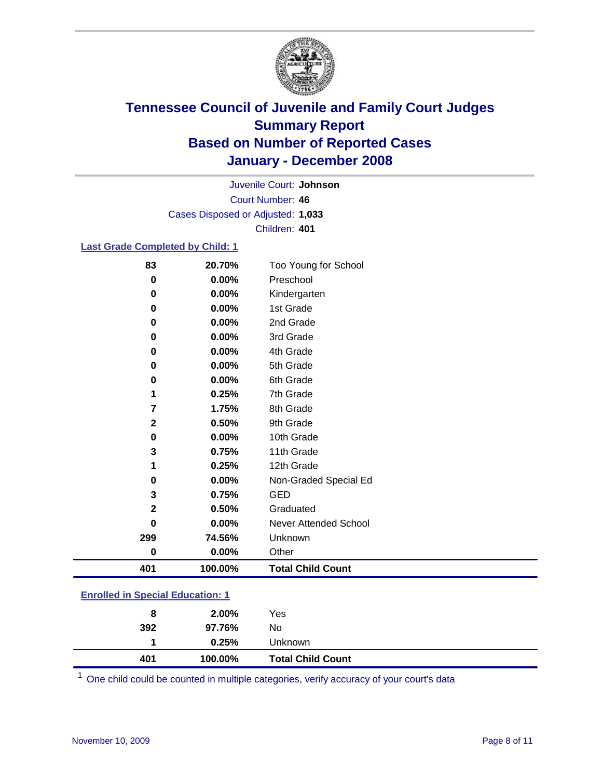

Court Number: **46** Juvenile Court: **Johnson** Cases Disposed or Adjusted: **1,033** Children: **401**

#### **Last Grade Completed by Child: 1**

| 401          | 100.00% | <b>Total Child Count</b> |
|--------------|---------|--------------------------|
| 0            | 0.00%   | Other                    |
| 299          | 74.56%  | Unknown                  |
| 0            | 0.00%   | Never Attended School    |
| $\mathbf 2$  | 0.50%   | Graduated                |
| 3            | 0.75%   | <b>GED</b>               |
| 0            | 0.00%   | Non-Graded Special Ed    |
| 1            | 0.25%   | 12th Grade               |
| 3            | 0.75%   | 11th Grade               |
| 0            | 0.00%   | 10th Grade               |
| $\mathbf{2}$ | 0.50%   | 9th Grade                |
| 7            | 1.75%   | 8th Grade                |
| 1            | 0.25%   | 7th Grade                |
| 0            | 0.00%   | 6th Grade                |
| 0            | 0.00%   | 5th Grade                |
| 0            | 0.00%   | 4th Grade                |
| 0            | 0.00%   | 3rd Grade                |
| 0            | 0.00%   | 2nd Grade                |
| 0            | 0.00%   | 1st Grade                |
| 0            | 0.00%   | Kindergarten             |
| 0            | 0.00%   | Preschool                |
| 83           | 20.70%  | Too Young for School     |

### **Enrolled in Special Education: 1**

| <b>Total Child Count</b><br>401<br>100.00% |  |
|--------------------------------------------|--|
| 0.25%<br>Unknown                           |  |
| 392<br>No<br>97.76%                        |  |
| 2.00%<br>Yes<br>8                          |  |

<sup>1</sup> One child could be counted in multiple categories, verify accuracy of your court's data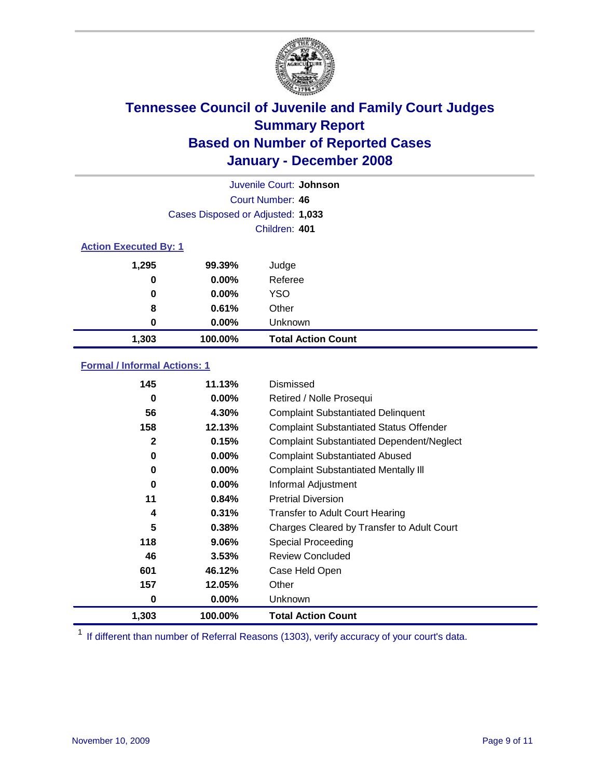

|                              |                                   | Juvenile Court: Johnson   |
|------------------------------|-----------------------------------|---------------------------|
|                              |                                   | Court Number: 46          |
|                              | Cases Disposed or Adjusted: 1,033 |                           |
|                              |                                   | Children: 401             |
| <b>Action Executed By: 1</b> |                                   |                           |
| 1,295                        | 99.39%                            | Judge                     |
| 0                            | $0.00\%$                          | Referee                   |
| 0                            | $0.00\%$                          | <b>YSO</b>                |
| 8                            | 0.61%                             | Other                     |
| 0                            | $0.00\%$                          | Unknown                   |
| 1,303                        | 100.00%                           | <b>Total Action Count</b> |

#### **Formal / Informal Actions: 1**

| 145          | 11.13%   | Dismissed                                        |
|--------------|----------|--------------------------------------------------|
| 0            | $0.00\%$ | Retired / Nolle Prosequi                         |
| 56           | 4.30%    | <b>Complaint Substantiated Delinquent</b>        |
| 158          | 12.13%   | <b>Complaint Substantiated Status Offender</b>   |
| $\mathbf{2}$ | 0.15%    | <b>Complaint Substantiated Dependent/Neglect</b> |
| 0            | 0.00%    | <b>Complaint Substantiated Abused</b>            |
| 0            | $0.00\%$ | <b>Complaint Substantiated Mentally III</b>      |
| 0            | $0.00\%$ | Informal Adjustment                              |
| 11           | 0.84%    | <b>Pretrial Diversion</b>                        |
| 4            | 0.31%    | <b>Transfer to Adult Court Hearing</b>           |
| 5            | 0.38%    | Charges Cleared by Transfer to Adult Court       |
| 118          | $9.06\%$ | Special Proceeding                               |
| 46           | 3.53%    | <b>Review Concluded</b>                          |
| 601          | 46.12%   | Case Held Open                                   |
| 157          | 12.05%   | Other                                            |
| 0            | $0.00\%$ | Unknown                                          |
| 1,303        | 100.00%  | <b>Total Action Count</b>                        |

<sup>1</sup> If different than number of Referral Reasons (1303), verify accuracy of your court's data.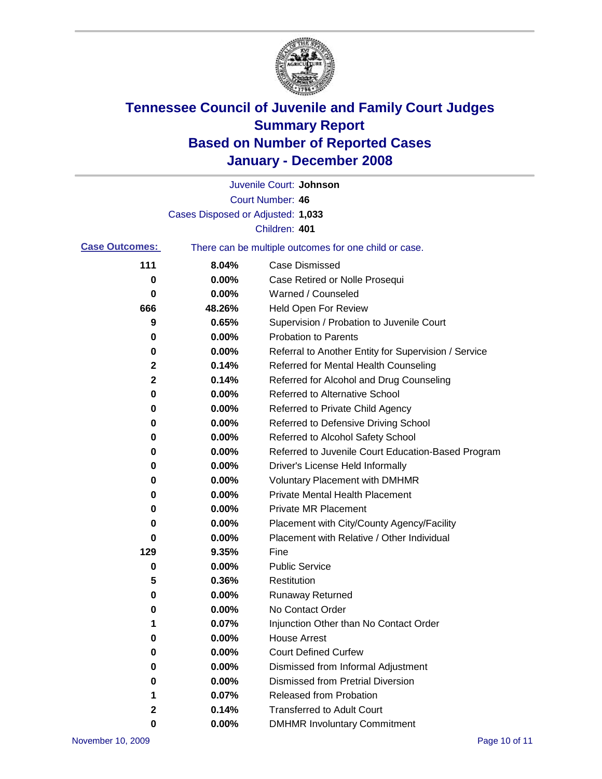

|                       |                                   | Juvenile Court: Johnson                               |
|-----------------------|-----------------------------------|-------------------------------------------------------|
|                       |                                   | Court Number: 46                                      |
|                       | Cases Disposed or Adjusted: 1,033 |                                                       |
|                       |                                   | Children: 401                                         |
| <b>Case Outcomes:</b> |                                   | There can be multiple outcomes for one child or case. |
| 111                   | 8.04%                             | <b>Case Dismissed</b>                                 |
| 0                     | 0.00%                             | Case Retired or Nolle Prosequi                        |
| 0                     | 0.00%                             | Warned / Counseled                                    |
| 666                   | 48.26%                            | Held Open For Review                                  |
| 9                     | 0.65%                             | Supervision / Probation to Juvenile Court             |
| 0                     | 0.00%                             | <b>Probation to Parents</b>                           |
| 0                     | 0.00%                             | Referral to Another Entity for Supervision / Service  |
| 2                     | 0.14%                             | Referred for Mental Health Counseling                 |
| 2                     | 0.14%                             | Referred for Alcohol and Drug Counseling              |
| 0                     | 0.00%                             | <b>Referred to Alternative School</b>                 |
| 0                     | 0.00%                             | Referred to Private Child Agency                      |
| 0                     | 0.00%                             | Referred to Defensive Driving School                  |
| 0                     | 0.00%                             | Referred to Alcohol Safety School                     |
| 0                     | 0.00%                             | Referred to Juvenile Court Education-Based Program    |
| 0                     | 0.00%                             | Driver's License Held Informally                      |
| 0                     | 0.00%                             | <b>Voluntary Placement with DMHMR</b>                 |
| 0                     | 0.00%                             | <b>Private Mental Health Placement</b>                |
| 0                     | 0.00%                             | Private MR Placement                                  |
| 0                     | 0.00%                             | Placement with City/County Agency/Facility            |
| 0                     | 0.00%                             | Placement with Relative / Other Individual            |
| 129                   | 9.35%                             | Fine                                                  |
| 0                     | 0.00%                             | <b>Public Service</b>                                 |
| 5                     | 0.36%                             | Restitution                                           |
| 0                     | 0.00%                             | <b>Runaway Returned</b>                               |
| 0                     | 0.00%                             | No Contact Order                                      |
| 1                     | 0.07%                             | Injunction Other than No Contact Order                |
| 0                     | 0.00%                             | <b>House Arrest</b>                                   |
| 0                     | 0.00%                             | <b>Court Defined Curfew</b>                           |
| 0                     | 0.00%                             | Dismissed from Informal Adjustment                    |
| 0                     | 0.00%                             | <b>Dismissed from Pretrial Diversion</b>              |
| 1                     | 0.07%                             | <b>Released from Probation</b>                        |
| 2                     | 0.14%                             | <b>Transferred to Adult Court</b>                     |
| 0                     | $0.00\%$                          | <b>DMHMR Involuntary Commitment</b>                   |